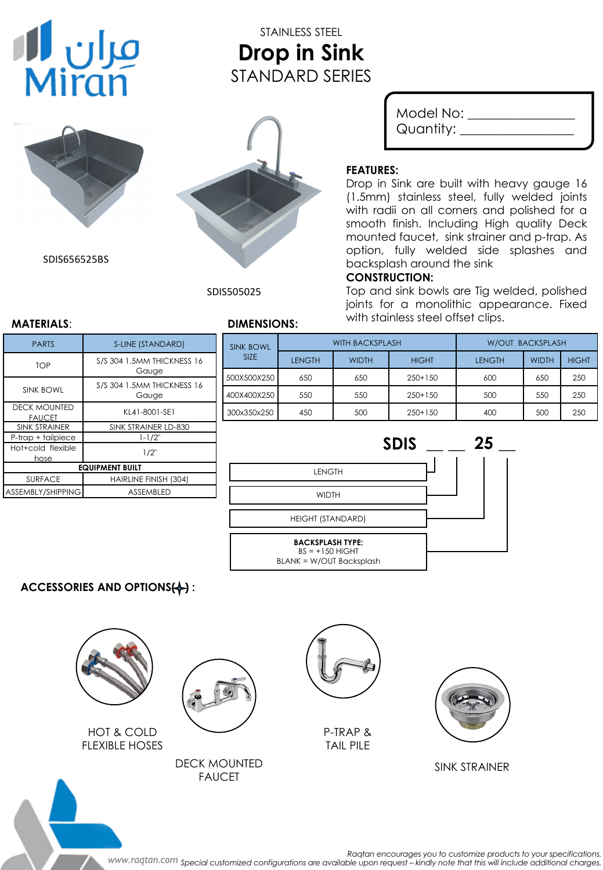# مران **ال**<br>Miran

# STAINLESS STEEL **Drop in Sink** STANDARD SERIES



SDIS656525BS



SDIS505025

| Model No: |  |
|-----------|--|
| Quantity: |  |

# **FEATURES:**

Drop in Sink are built with heavy gauge 16 (1.5mm) stainless steel, fully welded joints with radii on all corners and polished for a smooth finish. Including High quality Deck mounted faucet, sink strainer and p-trap. As option, fully welded side splashes and backsplash around the sink

### **CONSTRUCTION:**

Top and sink bowls are Tig welded, polished joints for a monolithic appearance. Fixed with stainless steel offset clips. **MATERIALS**: **DIMENSIONS:**

| <b>PARTS</b>                         | S-LINE (STANDARD)                          |  |  |  |
|--------------------------------------|--------------------------------------------|--|--|--|
| TOP                                  | S/S 304 1.5MM THICKNESS 16<br>Gauge        |  |  |  |
| <b>SINK BOWL</b>                     | <b>S/S 304 1.5MM THICKNESS 16</b><br>Gauge |  |  |  |
| <b>DECK MOUNTED</b><br><b>FAUCET</b> | KL41-8001-SE1                              |  |  |  |
| <b>SINK STRAINER</b>                 | SINK STRAINER LD-830                       |  |  |  |
| P-trap + tailpiece                   | $1 - 1/2"$                                 |  |  |  |
| Hot+cold flexible<br>hose            | $1/2$ "                                    |  |  |  |
| <b>EQUIPMENT BUILT</b>               |                                            |  |  |  |
| <b>SURFACE</b>                       | HAIRLINE FINISH (304)                      |  |  |  |
| ASSEMBLY/SHIPPING                    | <b>ASSEMBLED</b>                           |  |  |  |

| <b>SINK BOWL</b><br><b>SIZE</b> | <b>WITH BACKSPLASH</b> |              | <b>W/OUT BACKSPLASH</b> |               |              |              |
|---------------------------------|------------------------|--------------|-------------------------|---------------|--------------|--------------|
|                                 | <b>LENGTH</b>          | <b>WIDTH</b> | <b>HIGHT</b>            | <b>LENGTH</b> | <b>WIDTH</b> | <b>HIGHT</b> |
| 500X500X250                     | 650                    | 650          | $250+150$               | 600           | 650          | 250          |
| 400X400X250                     | 550                    | 550          | $250+150$               | 500           | 550          | 250          |
| 300x350x250                     | 450                    | 500          | $250+150$               | 400           | 500          | 250          |



# **ACCESSORIES AND OPTIONS(+):**



HOT & COLD FLEXIBLE HOSES







P-TRAP & TAIL PILE